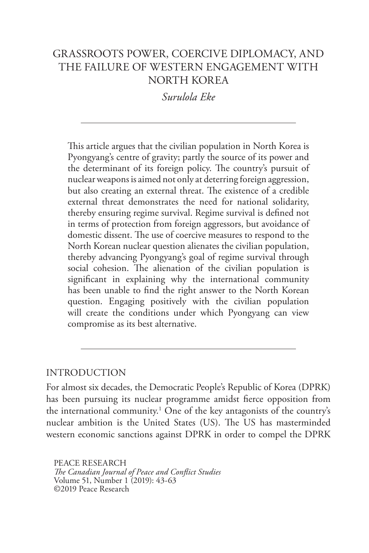# GRASSROOTS POWER, COERCIVE DIPLOMACY, AND THE FAILURE OF WESTERN ENGAGEMENT WITH NORTH KOREA

*Surulola Eke*

This article argues that the civilian population in North Korea is Pyongyang's centre of gravity; partly the source of its power and the determinant of its foreign policy. The country's pursuit of nuclear weapons is aimed not only at deterring foreign aggression, but also creating an external threat. The existence of a credible external threat demonstrates the need for national solidarity, thereby ensuring regime survival. Regime survival is defined not in terms of protection from foreign aggressors, but avoidance of domestic dissent. The use of coercive measures to respond to the North Korean nuclear question alienates the civilian population, thereby advancing Pyongyang's goal of regime survival through social cohesion. The alienation of the civilian population is significant in explaining why the international community has been unable to find the right answer to the North Korean question. Engaging positively with the civilian population will create the conditions under which Pyongyang can view compromise as its best alternative.

#### INTRODUCTION

For almost six decades, the Democratic People's Republic of Korea (DPRK) has been pursuing its nuclear programme amidst fierce opposition from the international community.1 One of the key antagonists of the country's nuclear ambition is the United States (US). The US has masterminded western economic sanctions against DPRK in order to compel the DPRK

PEACE RESEARCH *The Canadian Journal of Peace and Conflict Studies* Volume 51, Number 1 (2019): 43-63 ©2019 Peace Research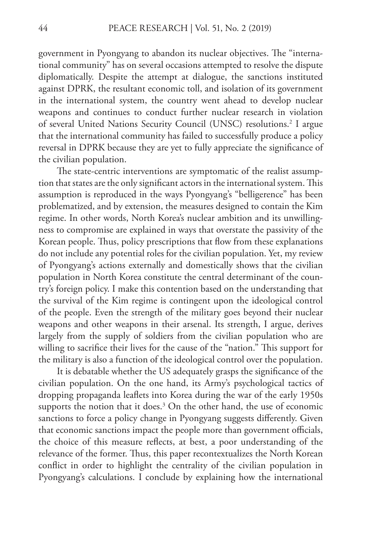government in Pyongyang to abandon its nuclear objectives. The "international community" has on several occasions attempted to resolve the dispute diplomatically. Despite the attempt at dialogue, the sanctions instituted against DPRK, the resultant economic toll, and isolation of its government in the international system, the country went ahead to develop nuclear weapons and continues to conduct further nuclear research in violation of several United Nations Security Council (UNSC) resolutions.2 I argue that the international community has failed to successfully produce a policy reversal in DPRK because they are yet to fully appreciate the significance of the civilian population.

The state-centric interventions are symptomatic of the realist assumption that states are the only significant actors in the international system. This assumption is reproduced in the ways Pyongyang's "belligerence" has been problematized, and by extension, the measures designed to contain the Kim regime. In other words, North Korea's nuclear ambition and its unwillingness to compromise are explained in ways that overstate the passivity of the Korean people. Thus, policy prescriptions that flow from these explanations do not include any potential roles for the civilian population. Yet, my review of Pyongyang's actions externally and domestically shows that the civilian population in North Korea constitute the central determinant of the country's foreign policy. I make this contention based on the understanding that the survival of the Kim regime is contingent upon the ideological control of the people. Even the strength of the military goes beyond their nuclear weapons and other weapons in their arsenal. Its strength, I argue, derives largely from the supply of soldiers from the civilian population who are willing to sacrifice their lives for the cause of the "nation." This support for the military is also a function of the ideological control over the population.

It is debatable whether the US adequately grasps the significance of the civilian population. On the one hand, its Army's psychological tactics of dropping propaganda leaflets into Korea during the war of the early 1950s supports the notion that it does. $3$  On the other hand, the use of economic sanctions to force a policy change in Pyongyang suggests differently. Given that economic sanctions impact the people more than government officials, the choice of this measure reflects, at best, a poor understanding of the relevance of the former. Thus, this paper recontextualizes the North Korean conflict in order to highlight the centrality of the civilian population in Pyongyang's calculations. I conclude by explaining how the international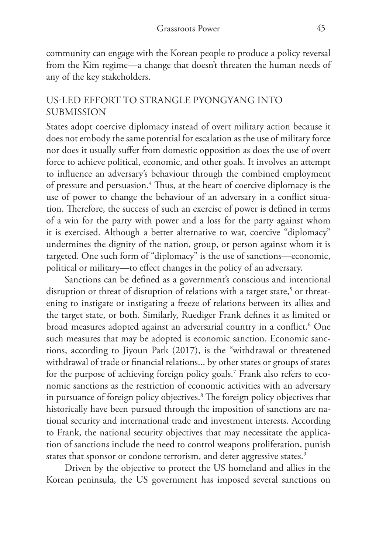community can engage with the Korean people to produce a policy reversal from the Kim regime—a change that doesn't threaten the human needs of any of the key stakeholders.

### US-LED EFFORT TO STRANGLE PYONGYANG INTO SUBMISSION

States adopt coercive diplomacy instead of overt military action because it does not embody the same potential for escalation as the use of military force nor does it usually suffer from domestic opposition as does the use of overt force to achieve political, economic, and other goals. It involves an attempt to influence an adversary's behaviour through the combined employment of pressure and persuasion.<sup>4</sup> Thus, at the heart of coercive diplomacy is the use of power to change the behaviour of an adversary in a conflict situation. Therefore, the success of such an exercise of power is defined in terms of a win for the party with power and a loss for the party against whom it is exercised. Although a better alternative to war, coercive "diplomacy" undermines the dignity of the nation, group, or person against whom it is targeted. One such form of "diplomacy" is the use of sanctions—economic, political or military—to effect changes in the policy of an adversary.

Sanctions can be defined as a government's conscious and intentional disruption or threat of disruption of relations with a target state, $5$  or threatening to instigate or instigating a freeze of relations between its allies and the target state, or both. Similarly, Ruediger Frank defines it as limited or broad measures adopted against an adversarial country in a conflict.6 One such measures that may be adopted is economic sanction. Economic sanctions, according to Jiyoun Park (2017), is the "withdrawal or threatened withdrawal of trade or financial relations... by other states or groups of states for the purpose of achieving foreign policy goals.7 Frank also refers to economic sanctions as the restriction of economic activities with an adversary in pursuance of foreign policy objectives.8 The foreign policy objectives that historically have been pursued through the imposition of sanctions are national security and international trade and investment interests. According to Frank, the national security objectives that may necessitate the application of sanctions include the need to control weapons proliferation, punish states that sponsor or condone terrorism, and deter aggressive states.<sup>9</sup>

Driven by the objective to protect the US homeland and allies in the Korean peninsula, the US government has imposed several sanctions on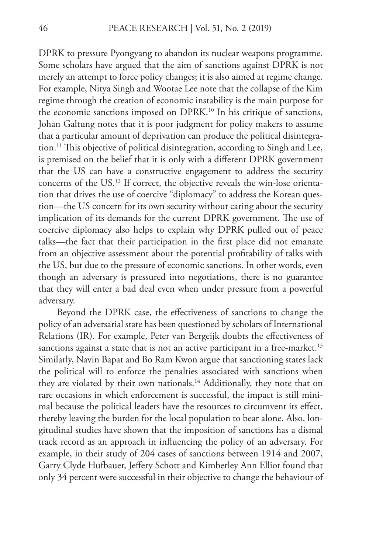DPRK to pressure Pyongyang to abandon its nuclear weapons programme. Some scholars have argued that the aim of sanctions against DPRK is not merely an attempt to force policy changes; it is also aimed at regime change. For example, Nitya Singh and Wootae Lee note that the collapse of the Kim regime through the creation of economic instability is the main purpose for the economic sanctions imposed on DPRK.<sup>10</sup> In his critique of sanctions, Johan Galtung notes that it is poor judgment for policy makers to assume that a particular amount of deprivation can produce the political disintegration.11 This objective of political disintegration, according to Singh and Lee, is premised on the belief that it is only with a different DPRK government that the US can have a constructive engagement to address the security concerns of the US.12 If correct, the objective reveals the win-lose orientation that drives the use of coercive "diplomacy" to address the Korean question—the US concern for its own security without caring about the security implication of its demands for the current DPRK government. The use of coercive diplomacy also helps to explain why DPRK pulled out of peace talks—the fact that their participation in the first place did not emanate from an objective assessment about the potential profitability of talks with the US, but due to the pressure of economic sanctions. In other words, even though an adversary is pressured into negotiations, there is no guarantee that they will enter a bad deal even when under pressure from a powerful adversary.

Beyond the DPRK case, the effectiveness of sanctions to change the policy of an adversarial state has been questioned by scholars of International Relations (IR). For example, Peter van Bergeijk doubts the effectiveness of sanctions against a state that is not an active participant in a free-market.<sup>13</sup> Similarly, Navin Bapat and Bo Ram Kwon argue that sanctioning states lack the political will to enforce the penalties associated with sanctions when they are violated by their own nationals.<sup>14</sup> Additionally, they note that on rare occasions in which enforcement is successful, the impact is still minimal because the political leaders have the resources to circumvent its effect, thereby leaving the burden for the local population to bear alone. Also, longitudinal studies have shown that the imposition of sanctions has a dismal track record as an approach in influencing the policy of an adversary. For example, in their study of 204 cases of sanctions between 1914 and 2007, Garry Clyde Hufbauer, Jeffery Schott and Kimberley Ann Elliot found that only 34 percent were successful in their objective to change the behaviour of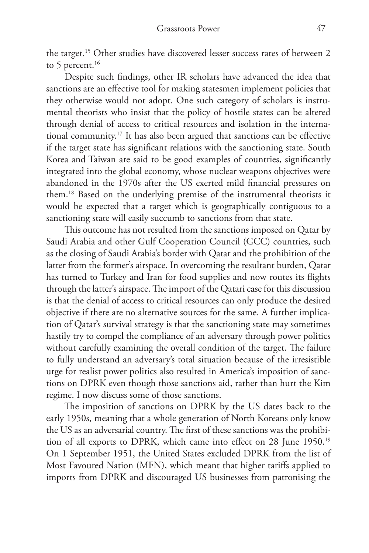the target.<sup>15</sup> Other studies have discovered lesser success rates of between 2 to 5 percent.<sup>16</sup>

Despite such findings, other IR scholars have advanced the idea that sanctions are an effective tool for making statesmen implement policies that they otherwise would not adopt. One such category of scholars is instrumental theorists who insist that the policy of hostile states can be altered through denial of access to critical resources and isolation in the international community.17 It has also been argued that sanctions can be effective if the target state has significant relations with the sanctioning state. South Korea and Taiwan are said to be good examples of countries, significantly integrated into the global economy, whose nuclear weapons objectives were abandoned in the 1970s after the US exerted mild financial pressures on them.18 Based on the underlying premise of the instrumental theorists it would be expected that a target which is geographically contiguous to a sanctioning state will easily succumb to sanctions from that state.

This outcome has not resulted from the sanctions imposed on Qatar by Saudi Arabia and other Gulf Cooperation Council (GCC) countries, such as the closing of Saudi Arabia's border with Qatar and the prohibition of the latter from the former's airspace. In overcoming the resultant burden, Qatar has turned to Turkey and Iran for food supplies and now routes its flights through the latter's airspace. The import of the Qatari case for this discussion is that the denial of access to critical resources can only produce the desired objective if there are no alternative sources for the same. A further implication of Qatar's survival strategy is that the sanctioning state may sometimes hastily try to compel the compliance of an adversary through power politics without carefully examining the overall condition of the target. The failure to fully understand an adversary's total situation because of the irresistible urge for realist power politics also resulted in America's imposition of sanctions on DPRK even though those sanctions aid, rather than hurt the Kim regime. I now discuss some of those sanctions.

The imposition of sanctions on DPRK by the US dates back to the early 1950s, meaning that a whole generation of North Koreans only know the US as an adversarial country. The first of these sanctions was the prohibition of all exports to DPRK, which came into effect on 28 June 1950.19 On 1 September 1951, the United States excluded DPRK from the list of Most Favoured Nation (MFN), which meant that higher tariffs applied to imports from DPRK and discouraged US businesses from patronising the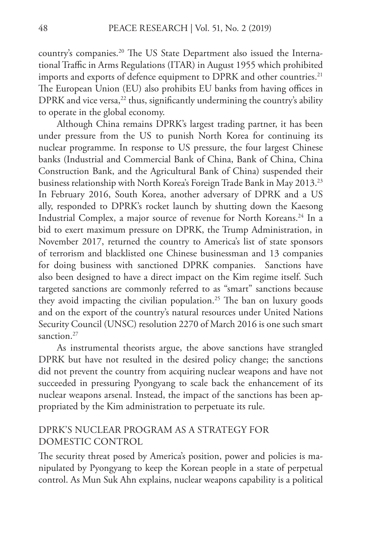country's companies.20 The US State Department also issued the International Traffic in Arms Regulations (ITAR) in August 1955 which prohibited imports and exports of defence equipment to DPRK and other countries.<sup>21</sup> The European Union (EU) also prohibits EU banks from having offices in DPRK and vice versa,<sup>22</sup> thus, significantly undermining the country's ability to operate in the global economy.

Although China remains DPRK's largest trading partner, it has been under pressure from the US to punish North Korea for continuing its nuclear programme. In response to US pressure, the four largest Chinese banks (Industrial and Commercial Bank of China, Bank of China, China Construction Bank, and the Agricultural Bank of China) suspended their business relationship with North Korea's Foreign Trade Bank in May 2013.<sup>23</sup> In February 2016, South Korea, another adversary of DPRK and a US ally, responded to DPRK's rocket launch by shutting down the Kaesong Industrial Complex, a major source of revenue for North Koreans.<sup>24</sup> In a bid to exert maximum pressure on DPRK, the Trump Administration, in November 2017, returned the country to America's list of state sponsors of terrorism and blacklisted one Chinese businessman and 13 companies for doing business with sanctioned DPRK companies. Sanctions have also been designed to have a direct impact on the Kim regime itself. Such targeted sanctions are commonly referred to as "smart" sanctions because they avoid impacting the civilian population.<sup>25</sup> The ban on luxury goods and on the export of the country's natural resources under United Nations Security Council (UNSC) resolution 2270 of March 2016 is one such smart sanction.<sup>27</sup>

As instrumental theorists argue, the above sanctions have strangled DPRK but have not resulted in the desired policy change; the sanctions did not prevent the country from acquiring nuclear weapons and have not succeeded in pressuring Pyongyang to scale back the enhancement of its nuclear weapons arsenal. Instead, the impact of the sanctions has been appropriated by the Kim administration to perpetuate its rule.

### DPRK'S NUCLEAR PROGRAM AS A STRATEGY FOR DOMESTIC CONTROL

The security threat posed by America's position, power and policies is manipulated by Pyongyang to keep the Korean people in a state of perpetual control. As Mun Suk Ahn explains, nuclear weapons capability is a political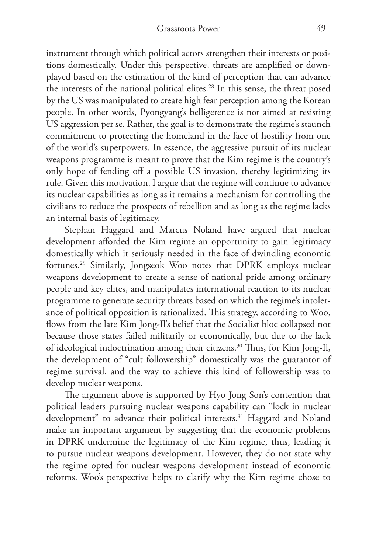instrument through which political actors strengthen their interests or positions domestically. Under this perspective, threats are amplified or downplayed based on the estimation of the kind of perception that can advance the interests of the national political elites.<sup>28</sup> In this sense, the threat posed by the US was manipulated to create high fear perception among the Korean people. In other words, Pyongyang's belligerence is not aimed at resisting US aggression per se. Rather, the goal is to demonstrate the regime's staunch commitment to protecting the homeland in the face of hostility from one of the world's superpowers. In essence, the aggressive pursuit of its nuclear weapons programme is meant to prove that the Kim regime is the country's only hope of fending off a possible US invasion, thereby legitimizing its rule. Given this motivation, I argue that the regime will continue to advance its nuclear capabilities as long as it remains a mechanism for controlling the civilians to reduce the prospects of rebellion and as long as the regime lacks an internal basis of legitimacy.

Stephan Haggard and Marcus Noland have argued that nuclear development afforded the Kim regime an opportunity to gain legitimacy domestically which it seriously needed in the face of dwindling economic fortunes.29 Similarly, Jongseok Woo notes that DPRK employs nuclear weapons development to create a sense of national pride among ordinary people and key elites, and manipulates international reaction to its nuclear programme to generate security threats based on which the regime's intolerance of political opposition is rationalized. This strategy, according to Woo, flows from the late Kim Jong-Il's belief that the Socialist bloc collapsed not because those states failed militarily or economically, but due to the lack of ideological indoctrination among their citizens.30 Thus, for Kim Jong-Il, the development of "cult followership" domestically was the guarantor of regime survival, and the way to achieve this kind of followership was to develop nuclear weapons.

The argument above is supported by Hyo Jong Son's contention that political leaders pursuing nuclear weapons capability can "lock in nuclear development" to advance their political interests.<sup>31</sup> Haggard and Noland make an important argument by suggesting that the economic problems in DPRK undermine the legitimacy of the Kim regime, thus, leading it to pursue nuclear weapons development. However, they do not state why the regime opted for nuclear weapons development instead of economic reforms. Woo's perspective helps to clarify why the Kim regime chose to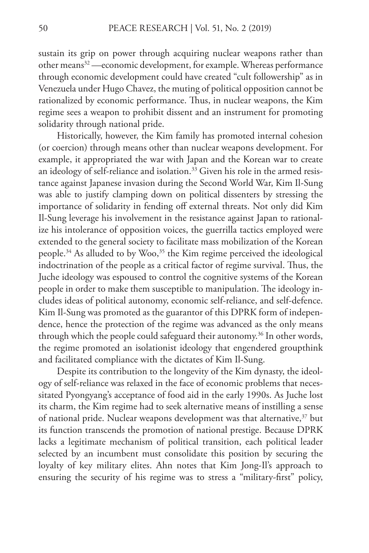sustain its grip on power through acquiring nuclear weapons rather than other means<sup>32</sup> —economic development, for example. Whereas performance through economic development could have created "cult followership" as in Venezuela under Hugo Chavez, the muting of political opposition cannot be rationalized by economic performance. Thus, in nuclear weapons, the Kim regime sees a weapon to prohibit dissent and an instrument for promoting solidarity through national pride.

Historically, however, the Kim family has promoted internal cohesion (or coercion) through means other than nuclear weapons development. For example, it appropriated the war with Japan and the Korean war to create an ideology of self-reliance and isolation.<sup>33</sup> Given his role in the armed resistance against Japanese invasion during the Second World War, Kim Il-Sung was able to justify clamping down on political dissenters by stressing the importance of solidarity in fending off external threats. Not only did Kim Il-Sung leverage his involvement in the resistance against Japan to rationalize his intolerance of opposition voices, the guerrilla tactics employed were extended to the general society to facilitate mass mobilization of the Korean people.<sup>34</sup> As alluded to by Woo,<sup>35</sup> the Kim regime perceived the ideological indoctrination of the people as a critical factor of regime survival. Thus, the Juche ideology was espoused to control the cognitive systems of the Korean people in order to make them susceptible to manipulation. The ideology includes ideas of political autonomy, economic self-reliance, and self-defence. Kim Il-Sung was promoted as the guarantor of this DPRK form of independence, hence the protection of the regime was advanced as the only means through which the people could safeguard their autonomy.<sup>36</sup> In other words, the regime promoted an isolationist ideology that engendered groupthink and facilitated compliance with the dictates of Kim Il-Sung.

Despite its contribution to the longevity of the Kim dynasty, the ideology of self-reliance was relaxed in the face of economic problems that necessitated Pyongyang's acceptance of food aid in the early 1990s. As Juche lost its charm, the Kim regime had to seek alternative means of instilling a sense of national pride. Nuclear weapons development was that alternative,<sup>37</sup> but its function transcends the promotion of national prestige. Because DPRK lacks a legitimate mechanism of political transition, each political leader selected by an incumbent must consolidate this position by securing the loyalty of key military elites. Ahn notes that Kim Jong-Il's approach to ensuring the security of his regime was to stress a "military-first" policy,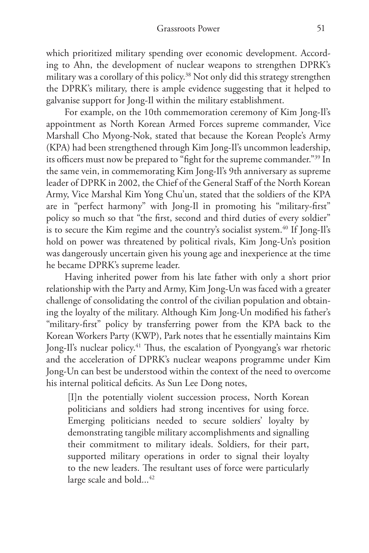which prioritized military spending over economic development. According to Ahn, the development of nuclear weapons to strengthen DPRK's military was a corollary of this policy.<sup>38</sup> Not only did this strategy strengthen the DPRK's military, there is ample evidence suggesting that it helped to galvanise support for Jong-Il within the military establishment.

For example, on the 10th commemoration ceremony of Kim Jong-Il's appointment as North Korean Armed Forces supreme commander, Vice Marshall Cho Myong-Nok, stated that because the Korean People's Army (KPA) had been strengthened through Kim Jong-Il's uncommon leadership, its officers must now be prepared to "fight for the supreme commander."39 In the same vein, in commemorating Kim Jong-Il's 9th anniversary as supreme leader of DPRK in 2002, the Chief of the General Staff of the North Korean Army, Vice Marshal Kim Yong Chu'un, stated that the soldiers of the KPA are in "perfect harmony" with Jong-Il in promoting his "military-first" policy so much so that "the first, second and third duties of every soldier" is to secure the Kim regime and the country's socialist system.<sup>40</sup> If Jong-Il's hold on power was threatened by political rivals, Kim Jong-Un's position was dangerously uncertain given his young age and inexperience at the time he became DPRK's supreme leader.

Having inherited power from his late father with only a short prior relationship with the Party and Army, Kim Jong-Un was faced with a greater challenge of consolidating the control of the civilian population and obtaining the loyalty of the military. Although Kim Jong-Un modified his father's "military-first" policy by transferring power from the KPA back to the Korean Workers Party (KWP), Park notes that he essentially maintains Kim Jong-Il's nuclear policy.<sup>41</sup> Thus, the escalation of Pyongyang's war rhetoric and the acceleration of DPRK's nuclear weapons programme under Kim Jong-Un can best be understood within the context of the need to overcome his internal political deficits. As Sun Lee Dong notes,

[I]n the potentially violent succession process, North Korean politicians and soldiers had strong incentives for using force. Emerging politicians needed to secure soldiers' loyalty by demonstrating tangible military accomplishments and signalling their commitment to military ideals. Soldiers, for their part, supported military operations in order to signal their loyalty to the new leaders. The resultant uses of force were particularly large scale and bold...<sup>42</sup>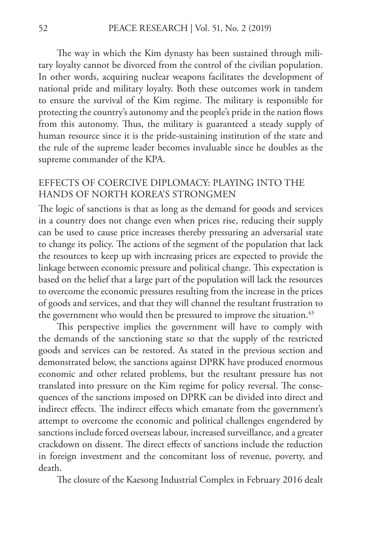The way in which the Kim dynasty has been sustained through military loyalty cannot be divorced from the control of the civilian population. In other words, acquiring nuclear weapons facilitates the development of national pride and military loyalty. Both these outcomes work in tandem to ensure the survival of the Kim regime. The military is responsible for protecting the country's autonomy and the people's pride in the nation flows from this autonomy. Thus, the military is guaranteed a steady supply of human resource since it is the pride-sustaining institution of the state and the rule of the supreme leader becomes invaluable since he doubles as the supreme commander of the KPA.

## EFFECTS OF COERCIVE DIPLOMACY: PLAYING INTO THE HANDS OF NORTH KOREA'S STRONGMEN

The logic of sanctions is that as long as the demand for goods and services in a country does not change even when prices rise, reducing their supply can be used to cause price increases thereby pressuring an adversarial state to change its policy. The actions of the segment of the population that lack the resources to keep up with increasing prices are expected to provide the linkage between economic pressure and political change. This expectation is based on the belief that a large part of the population will lack the resources to overcome the economic pressures resulting from the increase in the prices of goods and services, and that they will channel the resultant frustration to the government who would then be pressured to improve the situation.<sup>43</sup>

This perspective implies the government will have to comply with the demands of the sanctioning state so that the supply of the restricted goods and services can be restored. As stated in the previous section and demonstrated below, the sanctions against DPRK have produced enormous economic and other related problems, but the resultant pressure has not translated into pressure on the Kim regime for policy reversal. The consequences of the sanctions imposed on DPRK can be divided into direct and indirect effects. The indirect effects which emanate from the government's attempt to overcome the economic and political challenges engendered by sanctions include forced overseas labour, increased surveillance, and a greater crackdown on dissent. The direct effects of sanctions include the reduction in foreign investment and the concomitant loss of revenue, poverty, and death.

The closure of the Kaesong Industrial Complex in February 2016 dealt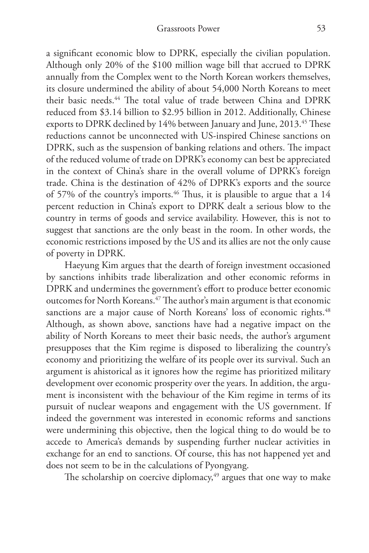a significant economic blow to DPRK, especially the civilian population. Although only 20% of the \$100 million wage bill that accrued to DPRK annually from the Complex went to the North Korean workers themselves, its closure undermined the ability of about 54,000 North Koreans to meet their basic needs.<sup>44</sup> The total value of trade between China and DPRK reduced from \$3.14 billion to \$2.95 billion in 2012. Additionally, Chinese exports to DPRK declined by 14% between January and June, 2013.<sup>45</sup> These reductions cannot be unconnected with US-inspired Chinese sanctions on DPRK, such as the suspension of banking relations and others. The impact of the reduced volume of trade on DPRK's economy can best be appreciated in the context of China's share in the overall volume of DPRK's foreign trade. China is the destination of 42% of DPRK's exports and the source of 57% of the country's imports.<sup>46</sup> Thus, it is plausible to argue that a 14 percent reduction in China's export to DPRK dealt a serious blow to the country in terms of goods and service availability. However, this is not to suggest that sanctions are the only beast in the room. In other words, the economic restrictions imposed by the US and its allies are not the only cause of poverty in DPRK.

Haeyung Kim argues that the dearth of foreign investment occasioned by sanctions inhibits trade liberalization and other economic reforms in DPRK and undermines the government's effort to produce better economic outcomes for North Koreans.<sup>47</sup> The author's main argument is that economic sanctions are a major cause of North Koreans' loss of economic rights.<sup>48</sup> Although, as shown above, sanctions have had a negative impact on the ability of North Koreans to meet their basic needs, the author's argument presupposes that the Kim regime is disposed to liberalizing the country's economy and prioritizing the welfare of its people over its survival. Such an argument is ahistorical as it ignores how the regime has prioritized military development over economic prosperity over the years. In addition, the argument is inconsistent with the behaviour of the Kim regime in terms of its pursuit of nuclear weapons and engagement with the US government. If indeed the government was interested in economic reforms and sanctions were undermining this objective, then the logical thing to do would be to accede to America's demands by suspending further nuclear activities in exchange for an end to sanctions. Of course, this has not happened yet and does not seem to be in the calculations of Pyongyang.

The scholarship on coercive diplomacy, $49$  argues that one way to make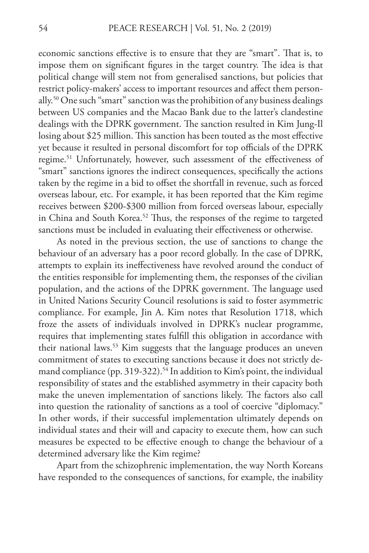economic sanctions effective is to ensure that they are "smart". That is, to impose them on significant figures in the target country. The idea is that political change will stem not from generalised sanctions, but policies that restrict policy-makers' access to important resources and affect them personally.50 One such "smart" sanction was the prohibition of any business dealings between US companies and the Macao Bank due to the latter's clandestine dealings with the DPRK government. The sanction resulted in Kim Jung-Il losing about \$25 million. This sanction has been touted as the most effective yet because it resulted in personal discomfort for top officials of the DPRK regime.<sup>51</sup> Unfortunately, however, such assessment of the effectiveness of "smart" sanctions ignores the indirect consequences, specifically the actions taken by the regime in a bid to offset the shortfall in revenue, such as forced overseas labour, etc. For example, it has been reported that the Kim regime receives between \$200-\$300 million from forced overseas labour, especially in China and South Korea.<sup>52</sup> Thus, the responses of the regime to targeted sanctions must be included in evaluating their effectiveness or otherwise.

As noted in the previous section, the use of sanctions to change the behaviour of an adversary has a poor record globally. In the case of DPRK, attempts to explain its ineffectiveness have revolved around the conduct of the entities responsible for implementing them, the responses of the civilian population, and the actions of the DPRK government. The language used in United Nations Security Council resolutions is said to foster asymmetric compliance. For example, Jin A. Kim notes that Resolution 1718, which froze the assets of individuals involved in DPRK's nuclear programme, requires that implementing states fulfill this obligation in accordance with their national laws.<sup>53</sup> Kim suggests that the language produces an uneven commitment of states to executing sanctions because it does not strictly demand compliance (pp. 319-322).<sup>54</sup> In addition to Kim's point, the individual responsibility of states and the established asymmetry in their capacity both make the uneven implementation of sanctions likely. The factors also call into question the rationality of sanctions as a tool of coercive "diplomacy." In other words, if their successful implementation ultimately depends on individual states and their will and capacity to execute them, how can such measures be expected to be effective enough to change the behaviour of a determined adversary like the Kim regime?

Apart from the schizophrenic implementation, the way North Koreans have responded to the consequences of sanctions, for example, the inability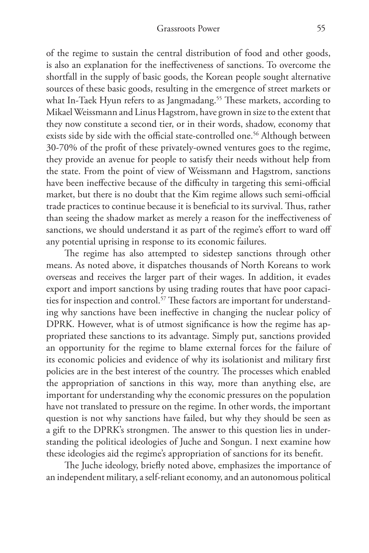of the regime to sustain the central distribution of food and other goods, is also an explanation for the ineffectiveness of sanctions. To overcome the shortfall in the supply of basic goods, the Korean people sought alternative sources of these basic goods, resulting in the emergence of street markets or what In-Taek Hyun refers to as Jangmadang.<sup>55</sup> These markets, according to Mikael Weissmann and Linus Hagstrom, have grown in size to the extent that they now constitute a second tier, or in their words, shadow, economy that exists side by side with the official state-controlled one.<sup>56</sup> Although between 30-70% of the profit of these privately-owned ventures goes to the regime, they provide an avenue for people to satisfy their needs without help from the state. From the point of view of Weissmann and Hagstrom, sanctions have been ineffective because of the difficulty in targeting this semi-official market, but there is no doubt that the Kim regime allows such semi-official trade practices to continue because it is beneficial to its survival. Thus, rather than seeing the shadow market as merely a reason for the ineffectiveness of sanctions, we should understand it as part of the regime's effort to ward off any potential uprising in response to its economic failures.

The regime has also attempted to sidestep sanctions through other means. As noted above, it dispatches thousands of North Koreans to work overseas and receives the larger part of their wages. In addition, it evades export and import sanctions by using trading routes that have poor capacities for inspection and control.<sup>57</sup> These factors are important for understanding why sanctions have been ineffective in changing the nuclear policy of DPRK. However, what is of utmost significance is how the regime has appropriated these sanctions to its advantage. Simply put, sanctions provided an opportunity for the regime to blame external forces for the failure of its economic policies and evidence of why its isolationist and military first policies are in the best interest of the country. The processes which enabled the appropriation of sanctions in this way, more than anything else, are important for understanding why the economic pressures on the population have not translated to pressure on the regime. In other words, the important question is not why sanctions have failed, but why they should be seen as a gift to the DPRK's strongmen. The answer to this question lies in understanding the political ideologies of Juche and Songun. I next examine how these ideologies aid the regime's appropriation of sanctions for its benefit.

The Juche ideology, briefly noted above, emphasizes the importance of an independent military, a self-reliant economy, and an autonomous political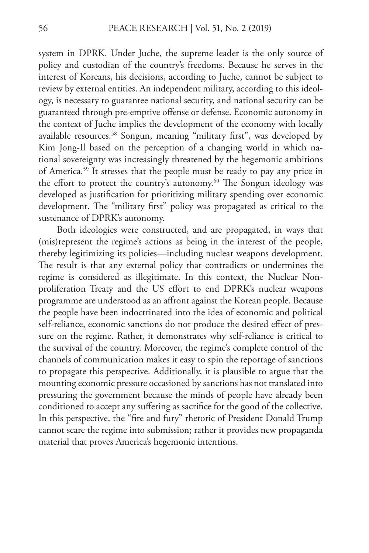system in DPRK. Under Juche, the supreme leader is the only source of policy and custodian of the country's freedoms. Because he serves in the interest of Koreans, his decisions, according to Juche, cannot be subject to review by external entities. An independent military, according to this ideology, is necessary to guarantee national security, and national security can be guaranteed through pre-emptive offense or defense. Economic autonomy in the context of Juche implies the development of the economy with locally available resources.58 Songun, meaning "military first", was developed by Kim Jong-Il based on the perception of a changing world in which national sovereignty was increasingly threatened by the hegemonic ambitions of America.59 It stresses that the people must be ready to pay any price in the effort to protect the country's autonomy.<sup>60</sup> The Songun ideology was developed as justification for prioritizing military spending over economic development. The "military first" policy was propagated as critical to the sustenance of DPRK's autonomy.

Both ideologies were constructed, and are propagated, in ways that (mis)represent the regime's actions as being in the interest of the people, thereby legitimizing its policies—including nuclear weapons development. The result is that any external policy that contradicts or undermines the regime is considered as illegitimate. In this context, the Nuclear Nonproliferation Treaty and the US effort to end DPRK's nuclear weapons programme are understood as an affront against the Korean people. Because the people have been indoctrinated into the idea of economic and political self-reliance, economic sanctions do not produce the desired effect of pressure on the regime. Rather, it demonstrates why self-reliance is critical to the survival of the country. Moreover, the regime's complete control of the channels of communication makes it easy to spin the reportage of sanctions to propagate this perspective. Additionally, it is plausible to argue that the mounting economic pressure occasioned by sanctions has not translated into pressuring the government because the minds of people have already been conditioned to accept any suffering as sacrifice for the good of the collective. In this perspective, the "fire and fury" rhetoric of President Donald Trump cannot scare the regime into submission; rather it provides new propaganda material that proves America's hegemonic intentions.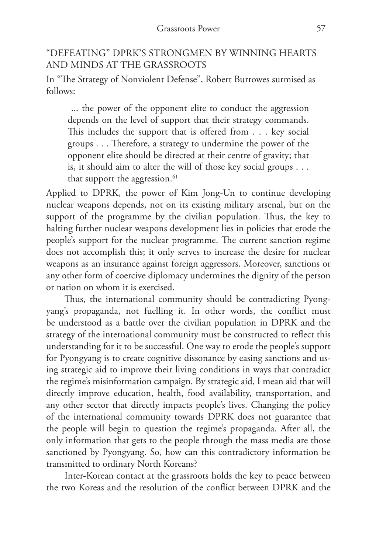## "DEFEATING" DPRK'S STRONGMEN BY WINNING HEARTS AND MINDS AT THE GRASSROOTS

In "The Strategy of Nonviolent Defense", Robert Burrowes surmised as follows:

 ... the power of the opponent elite to conduct the aggression depends on the level of support that their strategy commands. This includes the support that is offered from . . . key social groups . . . Therefore, a strategy to undermine the power of the opponent elite should be directed at their centre of gravity; that is, it should aim to alter the will of those key social groups . . . that support the aggression.<sup>61</sup>

Applied to DPRK, the power of Kim Jong-Un to continue developing nuclear weapons depends, not on its existing military arsenal, but on the support of the programme by the civilian population. Thus, the key to halting further nuclear weapons development lies in policies that erode the people's support for the nuclear programme. The current sanction regime does not accomplish this; it only serves to increase the desire for nuclear weapons as an insurance against foreign aggressors. Moreover, sanctions or any other form of coercive diplomacy undermines the dignity of the person or nation on whom it is exercised.

Thus, the international community should be contradicting Pyongyang's propaganda, not fuelling it. In other words, the conflict must be understood as a battle over the civilian population in DPRK and the strategy of the international community must be constructed to reflect this understanding for it to be successful. One way to erode the people's support for Pyongyang is to create cognitive dissonance by easing sanctions and using strategic aid to improve their living conditions in ways that contradict the regime's misinformation campaign. By strategic aid, I mean aid that will directly improve education, health, food availability, transportation, and any other sector that directly impacts people's lives. Changing the policy of the international community towards DPRK does not guarantee that the people will begin to question the regime's propaganda. After all, the only information that gets to the people through the mass media are those sanctioned by Pyongyang. So, how can this contradictory information be transmitted to ordinary North Koreans?

Inter-Korean contact at the grassroots holds the key to peace between the two Koreas and the resolution of the conflict between DPRK and the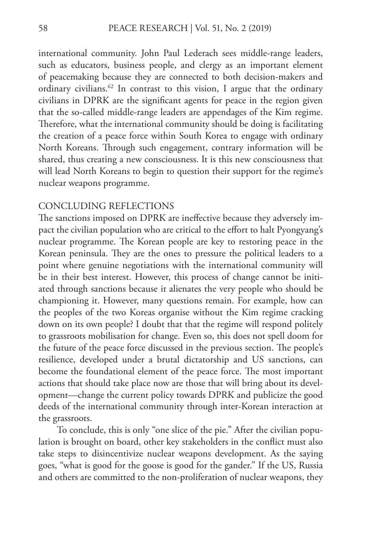international community. John Paul Lederach sees middle-range leaders, such as educators, business people, and clergy as an important element of peacemaking because they are connected to both decision-makers and ordinary civilians.<sup>62</sup> In contrast to this vision, I argue that the ordinary civilians in DPRK are the significant agents for peace in the region given that the so-called middle-range leaders are appendages of the Kim regime. Therefore, what the international community should be doing is facilitating the creation of a peace force within South Korea to engage with ordinary North Koreans. Through such engagement, contrary information will be shared, thus creating a new consciousness. It is this new consciousness that will lead North Koreans to begin to question their support for the regime's nuclear weapons programme.

#### CONCLUDING REFLECTIONS

The sanctions imposed on DPRK are ineffective because they adversely impact the civilian population who are critical to the effort to halt Pyongyang's nuclear programme. The Korean people are key to restoring peace in the Korean peninsula. They are the ones to pressure the political leaders to a point where genuine negotiations with the international community will be in their best interest. However, this process of change cannot be initiated through sanctions because it alienates the very people who should be championing it. However, many questions remain. For example, how can the peoples of the two Koreas organise without the Kim regime cracking down on its own people? I doubt that that the regime will respond politely to grassroots mobilisation for change. Even so, this does not spell doom for the future of the peace force discussed in the previous section. The people's resilience, developed under a brutal dictatorship and US sanctions, can become the foundational element of the peace force. The most important actions that should take place now are those that will bring about its development—change the current policy towards DPRK and publicize the good deeds of the international community through inter-Korean interaction at the grassroots.

To conclude, this is only "one slice of the pie." After the civilian population is brought on board, other key stakeholders in the conflict must also take steps to disincentivize nuclear weapons development. As the saying goes, "what is good for the goose is good for the gander." If the US, Russia and others are committed to the non-proliferation of nuclear weapons, they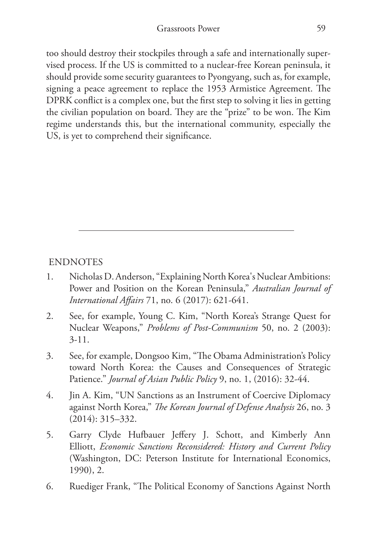too should destroy their stockpiles through a safe and internationally supervised process. If the US is committed to a nuclear-free Korean peninsula, it should provide some security guarantees to Pyongyang, such as, for example, signing a peace agreement to replace the 1953 Armistice Agreement. The DPRK conflict is a complex one, but the first step to solving it lies in getting the civilian population on board. They are the "prize" to be won. The Kim regime understands this, but the international community, especially the US, is yet to comprehend their significance.

### ENDNOTES

- 1. Nicholas D. Anderson, "Explaining North Korea's Nuclear Ambitions: Power and Position on the Korean Peninsula," *Australian Journal of International Affairs* 71, no. 6 (2017): 621-641.
- 2. See, for example, Young C. Kim, "North Korea's Strange Quest for Nuclear Weapons," *Problems of Post-Communism* 50, no. 2 (2003): 3-11.
- 3. See, for example, Dongsoo Kim, "The Obama Administration's Policy toward North Korea: the Causes and Consequences of Strategic Patience." *Journal of Asian Public Policy* 9, no. 1, (2016): 32-44.
- 4. Jin A. Kim, "UN Sanctions as an Instrument of Coercive Diplomacy against North Korea," *The Korean Journal of Defense Analysis* 26, no. 3 (2014): 315–332.
- 5. Garry Clyde Hufbauer Jeffery J. Schott, and Kimberly Ann Elliott, *Economic Sanctions Reconsidered: History and Current Policy*  (Washington, DC: Peterson Institute for International Economics, 1990), 2.
- 6. Ruediger Frank, "The Political Economy of Sanctions Against North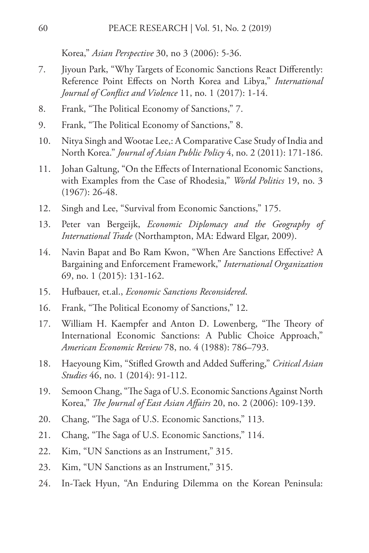Korea," *Asian Perspective* 30, no 3 (2006): 5-36.

- 7. Jiyoun Park, "Why Targets of Economic Sanctions React Differently: Reference Point Effects on North Korea and Libya," *International Journal of Conflict and Violence* 11, no. 1 (2017): 1-14.
- 8. Frank, "The Political Economy of Sanctions," 7.
- 9. Frank, "The Political Economy of Sanctions," 8.
- 10. Nitya Singh and Wootae Lee,: A Comparative Case Study of India and North Korea." *Journal of Asian Public Policy* 4, no. 2 (2011): 171-186.
- 11. Johan Galtung, "On the Effects of International Economic Sanctions, with Examples from the Case of Rhodesia," *World Politics* 19, no. 3 (1967): 26-48.
- 12. Singh and Lee, "Survival from Economic Sanctions," 175.
- 13. Peter van Bergeijk, *Economic Diplomacy and the Geography of International Trade* (Northampton, MA: Edward Elgar, 2009).
- 14. Navin Bapat and Bo Ram Kwon, "When Are Sanctions Effective? A Bargaining and Enforcement Framework," *International Organization*  69, no. 1 (2015): 131-162.
- 15. Hufbauer, et.al., *Economic Sanctions Reconsidered*.
- 16. Frank, "The Political Economy of Sanctions," 12.
- 17. William H. Kaempfer and Anton D. Lowenberg, "The Theory of International Economic Sanctions: A Public Choice Approach," *American Economic Review* 78, no. 4 (1988): 786–793.
- 18. Haeyoung Kim, "Stifled Growth and Added Suffering," *Critical Asian Studies* 46, no. 1 (2014): 91-112.
- 19. Semoon Chang, "The Saga of U.S. Economic Sanctions Against North Korea," *The Journal of East Asian Affairs* 20, no. 2 (2006): 109-139.
- 20. Chang, "The Saga of U.S. Economic Sanctions," 113.
- 21. Chang, "The Saga of U.S. Economic Sanctions," 114.
- 22. Kim, "UN Sanctions as an Instrument," 315.
- 23. Kim, "UN Sanctions as an Instrument," 315.
- 24. In-Taek Hyun, "An Enduring Dilemma on the Korean Peninsula: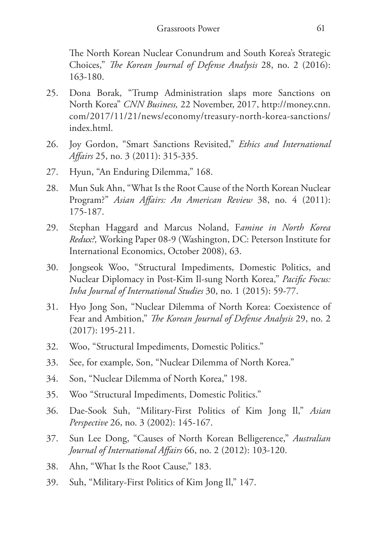The North Korean Nuclear Conundrum and South Korea's Strategic Choices," *The Korean Journal of Defense Analysis* 28, no. 2 (2016): 163-180.

- 25. Dona Borak, "Trump Administration slaps more Sanctions on North Korea" *CNN Business,* 22 November, 2017, http://money.cnn. com/2017/11/21/news/economy/treasury-north-korea-sanctions/ index.html.
- 26. Joy Gordon, "Smart Sanctions Revisited," *Ethics and International Affairs* 25, no. 3 (2011): 315-335.
- 27. Hyun, "An Enduring Dilemma," 168.
- 28. Mun Suk Ahn, "What Is the Root Cause of the North Korean Nuclear Program?" *Asian Affairs: An American Review* 38, no. 4 (2011): 175-187.
- 29. Stephan Haggard and Marcus Noland, F*amine in North Korea Redux?,* Working Paper 08-9 (Washington, DC: Peterson Institute for International Economics, October 2008), 63.
- 30. Jongseok Woo, "Structural Impediments, Domestic Politics, and Nuclear Diplomacy in Post-Kim Il-sung North Korea," *Pacific Focus: Inha Journal of International Studies* 30, no. 1 (2015): 59-77.
- 31. Hyo Jong Son, "Nuclear Dilemma of North Korea: Coexistence of Fear and Ambition," *The Korean Journal of Defense Analysis* 29, no. 2 (2017): 195-211.
- 32. Woo, "Structural Impediments, Domestic Politics."
- 33. See, for example, Son, "Nuclear Dilemma of North Korea."
- 34. Son, "Nuclear Dilemma of North Korea," 198.
- 35. Woo "Structural Impediments, Domestic Politics."
- 36. Dae-Sook Suh, "Military-First Politics of Kim Jong Il," *Asian Perspective* 26, no. 3 (2002): 145-167.
- 37. Sun Lee Dong, "Causes of North Korean Belligerence," *Australian Journal of International Affairs* 66, no. 2 (2012): 103-120.
- 38. Ahn, "What Is the Root Cause," 183.
- 39. Suh, "Military-First Politics of Kim Jong Il," 147.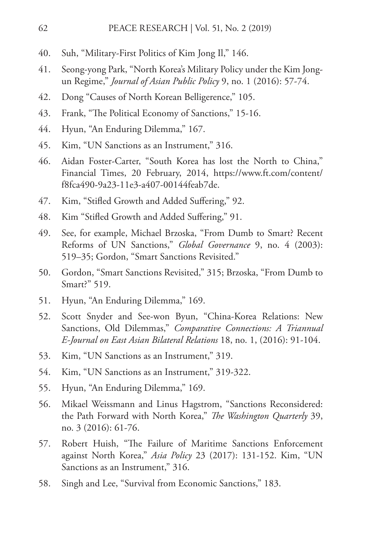- 40. Suh, "Military-First Politics of Kim Jong Il," 146.
- 41. Seong-yong Park, "North Korea's Military Policy under the Kim Jongun Regime," *Journal of Asian Public Policy* 9, no. 1 (2016): 57-74.
- 42. Dong "Causes of North Korean Belligerence," 105.
- 43. Frank, "The Political Economy of Sanctions," 15-16.
- 44. Hyun, "An Enduring Dilemma," 167.
- 45. Kim, "UN Sanctions as an Instrument," 316.
- 46. Aidan Foster-Carter, "South Korea has lost the North to China," Financial Times, 20 February, 2014, https://www.ft.com/content/ f8fca490-9a23-11e3-a407-00144feab7de.
- 47. Kim, "Stifled Growth and Added Suffering," 92.
- 48. Kim "Stifled Growth and Added Suffering," 91.
- 49. See, for example, Michael Brzoska, "From Dumb to Smart? Recent Reforms of UN Sanctions," *Global Governance* 9, no. 4 (2003): 519–35; Gordon, "Smart Sanctions Revisited."
- 50. Gordon, "Smart Sanctions Revisited," 315; Brzoska, "From Dumb to Smart?" 519.
- 51. Hyun, "An Enduring Dilemma," 169.
- 52. Scott Snyder and See-won Byun, "China-Korea Relations: New Sanctions, Old Dilemmas," *Comparative Connections: A Triannual E-Journal on East Asian Bilateral Relations* 18, no. 1, (2016): 91-104.
- 53. Kim, "UN Sanctions as an Instrument," 319.
- 54. Kim, "UN Sanctions as an Instrument," 319-322.
- 55. Hyun, "An Enduring Dilemma," 169.
- 56. Mikael Weissmann and Linus Hagstrom, "Sanctions Reconsidered: the Path Forward with North Korea," *The Washington Quarterly* 39, no. 3 (2016): 61-76.
- 57. Robert Huish, "The Failure of Maritime Sanctions Enforcement against North Korea," *Asia Policy* 23 (2017): 131-152. Kim, "UN Sanctions as an Instrument," 316.
- 58. Singh and Lee, "Survival from Economic Sanctions," 183.